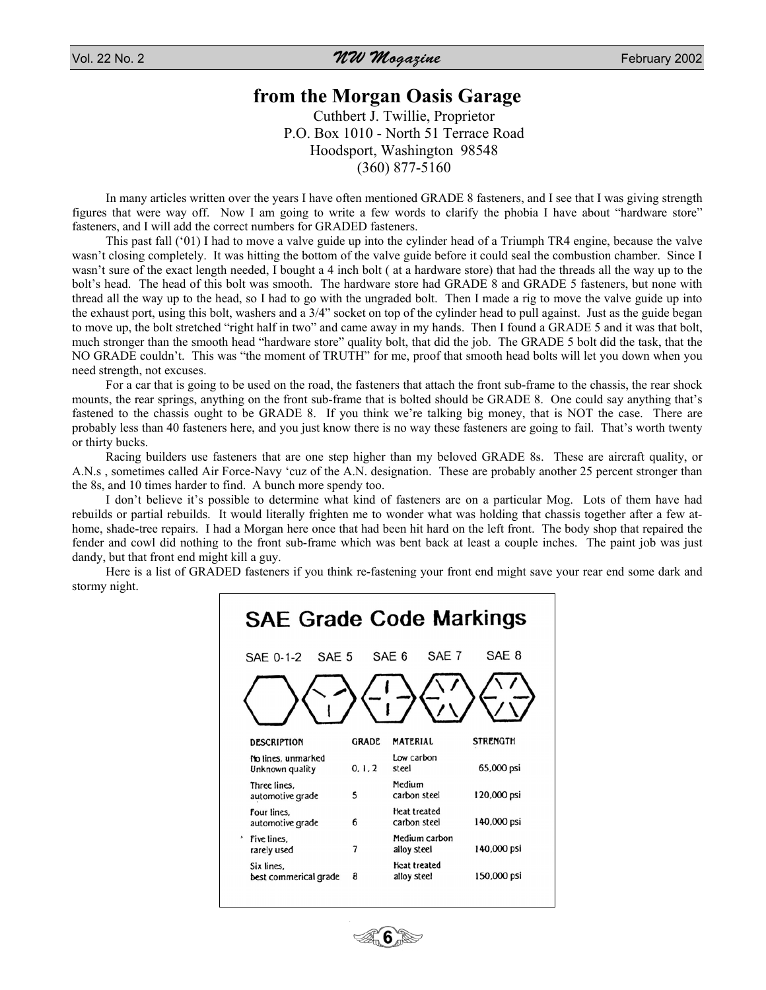Vol. 22 No. 2  $\sim$  February 2002

## **from the Morgan Oasis Garage**

Cuthbert J. Twillie, Proprietor P.O. Box 1010 - North 51 Terrace Road Hoodsport, Washington 98548 (360) 877-5160

In many articles written over the years I have often mentioned GRADE 8 fasteners, and I see that I was giving strength figures that were way off. Now I am going to write a few words to clarify the phobia I have about "hardware store" fasteners, and I will add the correct numbers for GRADED fasteners.

This past fall ('01) I had to move a valve guide up into the cylinder head of a Triumph TR4 engine, because the valve wasn't closing completely. It was hitting the bottom of the valve guide before it could seal the combustion chamber. Since I wasn't sure of the exact length needed, I bought a 4 inch bolt ( at a hardware store) that had the threads all the way up to the bolt's head. The head of this bolt was smooth. The hardware store had GRADE 8 and GRADE 5 fasteners, but none with thread all the way up to the head, so I had to go with the ungraded bolt. Then I made a rig to move the valve guide up into the exhaust port, using this bolt, washers and a 3/4" socket on top of the cylinder head to pull against. Just as the guide began to move up, the bolt stretched "right half in two" and came away in my hands. Then I found a GRADE 5 and it was that bolt, much stronger than the smooth head "hardware store" quality bolt, that did the job. The GRADE 5 bolt did the task, that the NO GRADE couldn't. This was "the moment of TRUTH" for me, proof that smooth head bolts will let you down when you need strength, not excuses.

For a car that is going to be used on the road, the fasteners that attach the front sub-frame to the chassis, the rear shock mounts, the rear springs, anything on the front sub-frame that is bolted should be GRADE 8. One could say anything that's fastened to the chassis ought to be GRADE 8. If you think we're talking big money, that is NOT the case. There are probably less than 40 fasteners here, and you just know there is no way these fasteners are going to fail. That's worth twenty or thirty bucks.

Racing builders use fasteners that are one step higher than my beloved GRADE 8s. These are aircraft quality, or A.N.s , sometimes called Air Force-Navy 'cuz of the A.N. designation. These are probably another 25 percent stronger than the 8s, and 10 times harder to find. A bunch more spendy too.

I don't believe it's possible to determine what kind of fasteners are on a particular Mog. Lots of them have had rebuilds or partial rebuilds. It would literally frighten me to wonder what was holding that chassis together after a few athome, shade-tree repairs. I had a Morgan here once that had been hit hard on the left front. The body shop that repaired the fender and cowl did nothing to the front sub-frame which was bent back at least a couple inches. The paint job was just dandy, but that front end might kill a guy.

Here is a list of GRADED fasteners if you think re-fastening your front end might save your rear end some dark and stormy night.

| <b>SAE Grade Code Markings</b>        |              |                                    |                 |
|---------------------------------------|--------------|------------------------------------|-----------------|
| SAF <sub>5</sub><br>SAE 0-1-2         |              | SAE 7<br>SAE 6                     | SAE 8           |
| <b>DESCRIPTION</b>                    | <b>GRADE</b> | <b>MATERIAL</b>                    | <b>STRENGTH</b> |
| No lines, unmarked<br>Unknown quality | 0, 1, 2      | Low carbon<br>steel                | 65,000 psi      |
| Three lines.<br>automotive grade      | 5            | Medium<br>carbon steel             | 120,000 psi     |
| Four lines.<br>automotive grade       | 6            | Heat treated<br>carbon steel       | 140,000 psi     |
| ,<br>Five lines.<br>rarely used       | 7            | Medium carbon<br>alloy steel       | 140,000 psi     |
| Six lines.<br>best commerical grade   | a            | <b>Heat treated</b><br>alloy steel | 150,000 psi     |